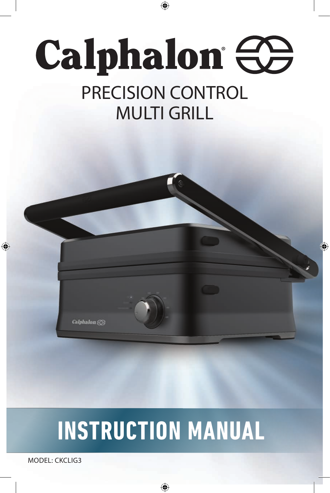# **Calphalon CO** PRECISION CONTROL MULTI GRILL

⊕

⊕



# **INSTRUCTION MANUAL**

⊕

MODEL: CKCLIG3

⊕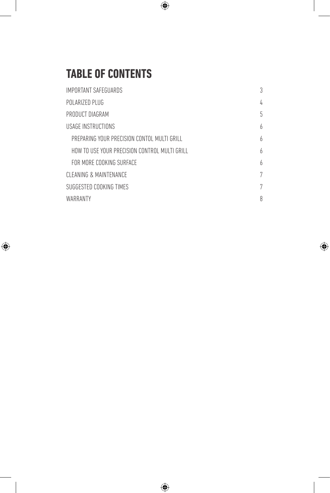### **TABLE OF CONTENTS**

I

 $\bigoplus$ 

 $\overline{\phantom{a}}$ 

| IMPORTANT SAFEGUARDS                          | 3 |
|-----------------------------------------------|---|
| POLARIZED PLUG                                | 4 |
| PRODUCT DIAGRAM                               | 5 |
| USAGE INSTRUCTIONS                            | 6 |
| PREPARING YOUR PRECISION CONTOL MULTI GRILL   | h |
| HOW TO USE YOUR PRECISION CONTROL MULTI GRILL | 6 |
| FOR MORE COOKING SURFACE                      | 6 |
| CLEANING & MAINTENANCE                        | 7 |
| SUGGESTED COOKING TIMES                       | 7 |
| WARRANTY                                      | 8 |

 $\bigoplus$ 

 $\bigoplus$ 

 $\bigoplus$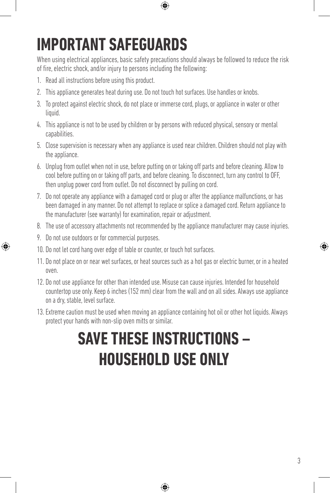## **IMPORTANT SAFEGUARDS**

When using electrical appliances, basic safety precautions should always be followed to reduce the risk of fire, electric shock, and/or injury to persons including the following:

⊕

- 1. Read all instructions before using this product.
- 2. This appliance generates heat during use. Do not touch hot surfaces. Use handles or knobs.
- 3. To protect against electric shock, do not place or immerse cord, plugs, or appliance in water or other liquid.
- 4. This appliance is not to be used by children or by persons with reduced physical, sensory or mental capabilities.
- 5. Close supervision is necessary when any appliance is used near children. Children should not play with the appliance.
- 6. Unplug from outlet when not in use, before putting on or taking off parts and before cleaning. Allow to cool before putting on or taking off parts, and before cleaning. To disconnect, turn any control to OFF, then unplug power cord from outlet. Do not disconnect by pulling on cord.
- 7. Do not operate any appliance with a damaged cord or plug or after the appliance malfunctions, or has been damaged in any manner. Do not attempt to replace or splice a damaged cord. Return appliance to the manufacturer (see warranty) for examination, repair or adjustment.
- 8. The use of accessory attachments not recommended by the appliance manufacturer may cause injuries.
- 9. Do not use outdoors or for commercial purposes.

⊕

- 10. Do not let cord hang over edge of table or counter, or touch hot surfaces.
- 11. Do not place on or near wet surfaces, or heat sources such as a hot gas or electric burner, or in a heated oven.
- 12. Do not use appliance for other than intended use. Misuse can cause injuries. Intended for household countertop use only. Keep 6 inches (152 mm) clear from the wall and on all sides. Always use appliance on a dry, stable, level surface.
- 13. Extreme caution must be used when moving an appliance containing hot oil or other hot liquids. Always protect your hands with non-slip oven mitts or similar.

## **SAVE THESE INSTRUCTIONS – HOUSEHOLD USE ONLY**

⊕

♠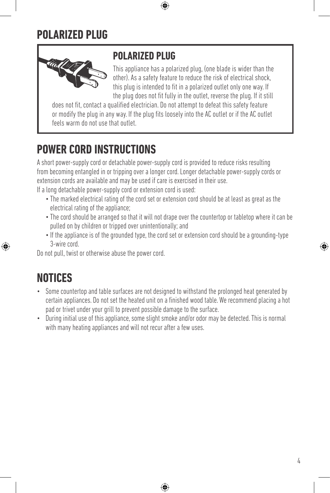#### **POLARIZED PLUG**



#### **POLARIZED PLUG**

This appliance has a polarized plug, (one blade is wider than the other). As a safety feature to reduce the risk of electrical shock, this plug is intended to fit in a polarized outlet only one way. If the plug does not fit fully in the outlet, reverse the plug. If it still

does not fit, contact a qualified electrician. Do not attempt to defeat this safety feature or modify the plug in any way. If the plug fits loosely into the AC outlet or if the AC outlet feels warm do not use that outlet.

⊕

### **POWER CORD INSTRUCTIONS**

A short power-supply cord or detachable power-supply cord is provided to reduce risks resulting from becoming entangled in or tripping over a longer cord. Longer detachable power-supply cords or extension cords are available and may be used if care is exercised in their use.

If a long detachable power-supply cord or extension cord is used:

- The marked electrical rating of the cord set or extension cord should be at least as great as the electrical rating of the appliance;
- The cord should be arranged so that it will not drape over the countertop or tabletop where it can be pulled on by children or tripped over unintentionally; and
- If the appliance is of the grounded type, the cord set or extension cord should be a grounding-type 3-wire cord.

Do not pull, twist or otherwise abuse the power cord.

### **NOTICES**

⊕

- Some countertop and table surfaces are not designed to withstand the prolonged heat generated by certain appliances. Do not set the heated unit on a finished wood table. We recommend placing a hot pad or trivet under your grill to prevent possible damage to the surface.
- During initial use of this appliance, some slight smoke and/or odor may be detected. This is normal with many heating appliances and will not recur after a few uses.

⊕

4

♠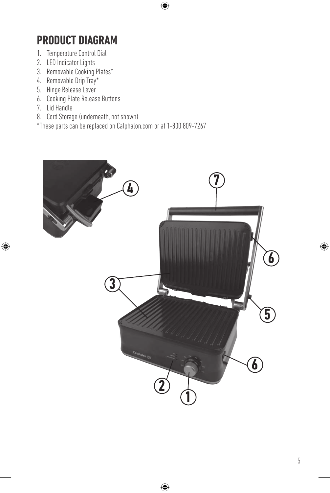### **PRODUCT DIAGRAM**

- 1. Temperature Control Dial
- 2. LED Indicator Lights
- 3. Removable Cooking Plates\*
- 4. Removable Drip Tray\*
- 5. Hinge Release Lever
- 6. Cooking Plate Release Buttons
- 7. Lid Handle

 $\bigoplus$ 

- 8. Cord Storage (underneath, not shown)
- \*These parts can be replaced on Calphalon.com or at 1-800 809-7267



 $\bigoplus$ 

 $\bigoplus$ 

 $\bigoplus$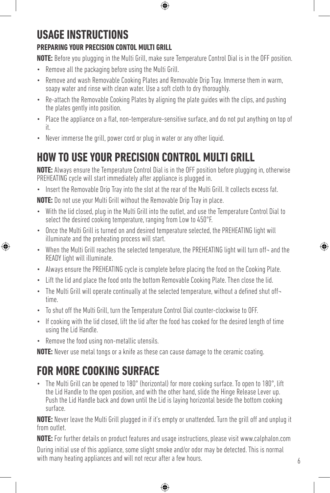## **USAGE INSTRUCTIONS**

#### **PREPARING YOUR PRECISION CONTOL MULTI GRILL**

**NOTE:** Before you plugging in the Multi Grill, make sure Temperature Control Dial is in the OFF position.

⊕

- Remove all the packaging before using the Multi Grill.
- Remove and wash Removable Cooking Plates and Removable Drip Tray. Immerse them in warm, soapy water and rinse with clean water. Use a soft cloth to dry thoroughly.
- Re-attach the Removable Cooking Plates by aligning the plate guides with the clips, and pushing the plates gently into position.
- Place the appliance on a flat, non-temperature-sensitive surface, and do not put anything on top of it.
- Never immerse the grill, power cord or plug in water or any other liquid.

### **HOW TO USE YOUR PRECISION CONTROL MULTI GRILL**

**NOTE:** Always ensure the Temperature Control Dial is in the OFF position before plugging in, otherwise PREHEATING cycle will start immediately after appliance is plugged in.

• Insert the Removable Drip Tray into the slot at the rear of the Multi Grill. It collects excess fat.

**NOTE:** Do not use your Multi Grill without the Removable Drip Tray in place.

- With the lid closed, plug in the Multi Grill into the outlet, and use the Temperature Control Dial to select the desired cooking temperature, ranging from Low to 450°F.
- Once the Multi Grill is turned on and desired temperature selected, the PREHEATING light will illuminate and the preheating process will start.
- When the Multi Grill reaches the selected temperature, the PREHEATING light will turn off-and the READY light will illuminate.
- Always ensure the PREHEATING cycle is complete before placing the food on the Cooking Plate.
- Lift the lid and place the food onto the bottom Removable Cooking Plate. Then close the lid.
- The Multi Grill will operate continually at the selected temperature, without a defined shut offtime.
- To shut off the Multi Grill, turn the Temperature Control Dial counter-clockwise to OFF.
- If cooking with the lid closed, lift the lid after the food has cooked for the desired length of time using the Lid Handle.
- Remove the food using non-metallic utensils.

⊕

**NOTE:** Never use metal tongs or a knife as these can cause damage to the ceramic coating.

### **FOR MORE COOKING SURFACE**

• The Multi Grill can be opened to 180° (horizontal) for more cooking surface. To open to 180°, lift the Lid Handle to the open position, and with the other hand, slide the Hinge Release Lever up. Push the Lid Handle back and down until the Lid is laying horizontal beside the bottom cooking surface.

**NOTE:** Never leave the Multi Grill plugged in if it's empty or unattended. Turn the grill off and unplug it from outlet.

**NOTE:** For further details on product features and usage instructions, please visit www.calphalon.com During initial use of this appliance, some slight smoke and/or odor may be detected. This is normal with many heating appliances and will not recur after a few hours.

⊕

♠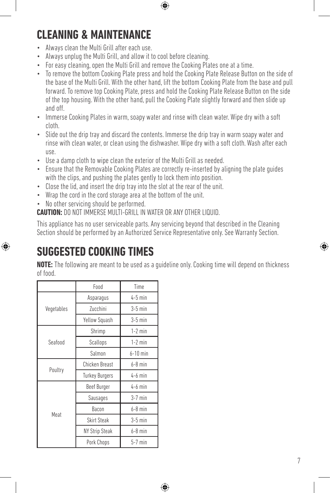**CLEANING & MAINTENANCE**

- Always clean the Multi Grill after each use.
- Always unplug the Multi Grill, and allow it to cool before cleaning.
- For easy cleaning, open the Multi Grill and remove the Cooking Plates one at a time.
- To remove the bottom Cooking Plate press and hold the Cooking Plate Release Button on the side of the base of the Multi Grill. With the other hand, lift the bottom Cooking Plate from the base and pull forward. To remove top Cooking Plate, press and hold the Cooking Plate Release Button on the side of the top housing. With the other hand, pull the Cooking Plate slightly forward and then slide up and off.

⊕

- Immerse Cooking Plates in warm, soapy water and rinse with clean water. Wipe dry with a soft cloth.
- Slide out the drip tray and discard the contents. Immerse the drip tray in warm soapy water and rinse with clean water, or clean using the dishwasher. Wipe dry with a soft cloth. Wash after each use.
- Use a damp cloth to wipe clean the exterior of the Multi Grill as needed.
- Ensure that the Removable Cooking Plates are correctly re-inserted by aligning the plate guides with the clips, and pushing the plates gently to lock them into position.
- Close the lid, and insert the drip tray into the slot at the rear of the unit.
- Wrap the cord in the cord storage area at the bottom of the unit.
- No other servicing should be performed.

**CAUTION:** DO NOT IMMERSE MULTI-GRILL IN WATER OR ANY OTHER LIQUID.

This appliance has no user serviceable parts. Any servicing beyond that described in the Cleaning Section should be performed by an Authorized Service Representative only. See Warranty Section.

### **SUGGESTED COOKING TIMES**

 $\bigoplus$ 

**NOTE:** The following are meant to be used as a guideline only. Cooking time will depend on thickness of food.

⊕

|            | Food                  | Time       |
|------------|-----------------------|------------|
| Vegetables | Asparagus             | $4-5$ min  |
|            | Zucchini              | $3-5$ min  |
|            | Yellow Squash         | $3-5$ min  |
| Seafood    | Shrimp                | $1-2$ min  |
|            | Scallops              | $1-2$ min  |
|            | Salmon                | $6-10$ min |
| Poultry    | Chicken Breast        | $6-8$ min  |
|            | <b>Turkey Burgers</b> | $4-6$ min  |
| Meat       | Beef Burger           | $4-6$ min  |
|            | Sausages              | $3-7$ min  |
|            | Bacon                 | $6-8$ min  |
|            | <b>Skirt Steak</b>    | $3-5$ min  |
|            | <b>NY Strip Steak</b> | $6-8$ min  |
|            | Pork Chops            | $5-7$ min  |

⊕